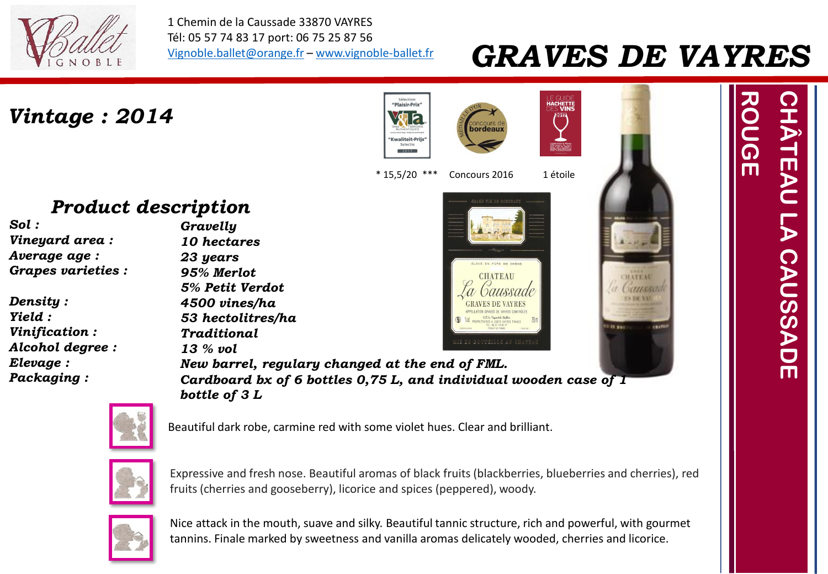

1 Chemin de la Caussade 33870 VAYRES Tél: 05 57 74 83 17 port: 06 75 25 87 56 [Vignoble.ballet@orange.fr](mailto:Vignoble.ballet@orange.fr) – [www.vignoble-ballet.fr](http://www.vignoble-ballet.fr/)

### *GRAVES DE VAYRES*

*Vintage : 2014*





# **CHATEAU**



# *CHÂTEAU LA CAUSSADE* HÄTEAU *ROUGE* CAUSSADE

#### *Product description*

- *Sol : Vineyard area : Average age : Grapes varieties :*
- *Density : Yield : Vinification : Alcohol degree : Elevage : Packaging :*



*New barrel, regulary changed at the end of FML. Cardboard bx of 6 bottles 0,75 L, and individual wooden case of 1 bottle of 3 L*



Beautiful dark robe, carmine red with some violet hues. Clear and brilliant.



Expressive and fresh nose. Beautiful aromas of black fruits (blackberries, blueberries and cherries), red fruits (cherries and gooseberry), licorice and spices (peppered), woody.



Nice attack in the mouth, suave and silky. Beautiful tannic structure, rich and powerful, with gourmet tannins. Finale marked by sweetness and vanilla aromas delicately wooded, cherries and licorice.